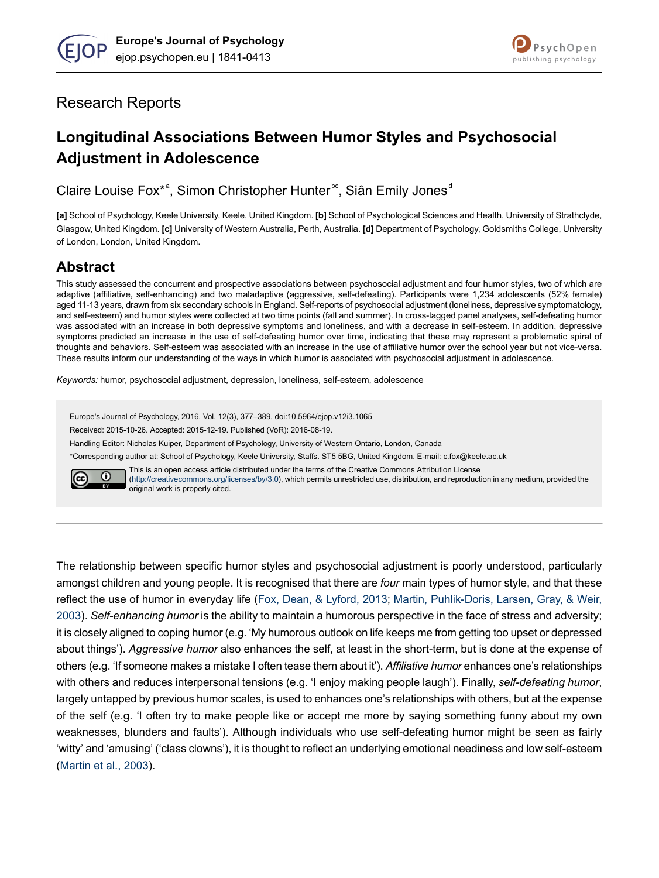

## Research Reports

# **Longitudinal Associations Between Humor Styles and Psychosocial Adjustment in Adolescence**

Claire Louise Fox\*<sup>a</sup>, Simon Christopher Hunter<sup>bc</sup>, Siân Emily Jones<sup>d</sup>

**[a]** School of Psychology, Keele University, Keele, United Kingdom. **[b]** School of Psychological Sciences and Health, University of Strathclyde, Glasgow, United Kingdom. **[c]** University of Western Australia, Perth, Australia. **[d]** Department of Psychology, Goldsmiths College, University of London, London, United Kingdom.

## **Abstract**

This study assessed the concurrent and prospective associations between psychosocial adjustment and four humor styles, two of which are adaptive (affiliative, self-enhancing) and two maladaptive (aggressive, self-defeating). Participants were 1,234 adolescents (52% female) aged 11-13 years, drawn from six secondary schools in England. Self-reports of psychosocial adjustment (loneliness, depressive symptomatology, and self-esteem) and humor styles were collected at two time points (fall and summer). In cross-lagged panel analyses, self-defeating humor was associated with an increase in both depressive symptoms and loneliness, and with a decrease in self-esteem. In addition, depressive symptoms predicted an increase in the use of self-defeating humor over time, indicating that these may represent a problematic spiral of thoughts and behaviors. Self-esteem was associated with an increase in the use of affiliative humor over the school year but not vice-versa. These results inform our understanding of the ways in which humor is associated with psychosocial adjustment in adolescence.

*Keywords:* humor, psychosocial adjustment, depression, loneliness, self-esteem, adolescence

Europe's Journal of Psychology, 2016, Vol. 12(3), 377–389, doi:10.5964/ejop.v12i3.1065

Received: 2015-10-26. Accepted: 2015-12-19. Published (VoR): 2016-08-19.

Handling Editor: Nicholas Kuiper, Department of Psychology, University of Western Ontario, London, Canada

\*Corresponding author at: School of Psychology, Keele University, Staffs. ST5 5BG, United Kingdom. E-mail: c.fox@keele.ac.uk



This is an open access article distributed under the terms of the Creative Commons Attribution License [\(http://creativecommons.org/licenses/by/3.0\)](http://creativecommons.org/licenses/by/3.0), which permits unrestricted use, distribution, and reproduction in any medium, provided the original work is properly cited.

The relationship between specific humor styles and psychosocial adjustment is poorly understood, particularly amongst children and young people. It is recognised that there are *four* main types of humor style, and that these reflect the use of humor in everyday life (Fox, Dean, & [Lyford,](#page-10-0) 2013; Martin, [Puhlik-Doris,](#page-11-0) Larsen, Gray, & Weir, [2003](#page-11-0)). *Self-enhancing humor* is the ability to maintain a humorous perspective in the face of stress and adversity; it is closely aligned to coping humor (e.g. 'My humorous outlook on life keeps me from getting too upset or depressed about things'). *Aggressive humor* also enhances the self, at least in the short-term, but is done at the expense of others (e.g. 'If someone makes a mistake I often tease them about it'). Affiliative humor enhances one's relationships with others and reduces interpersonal tensions (e.g. 'I enjoy making people laugh'). Finally, *self-defeating humor*, largely untapped by previous humor scales, is used to enhances one's relationships with others, but at the expense of the self (e.g. 'I often try to make people like or accept me more by saying something funny about my own weaknesses, blunders and faults'). Although individuals who use self-defeating humor might be seen as fairly 'witty' and 'amusing' ('class clowns'), it is thought to reflect an underlying emotional neediness and low self-esteem [\(Martin](#page-11-0) et al., 2003).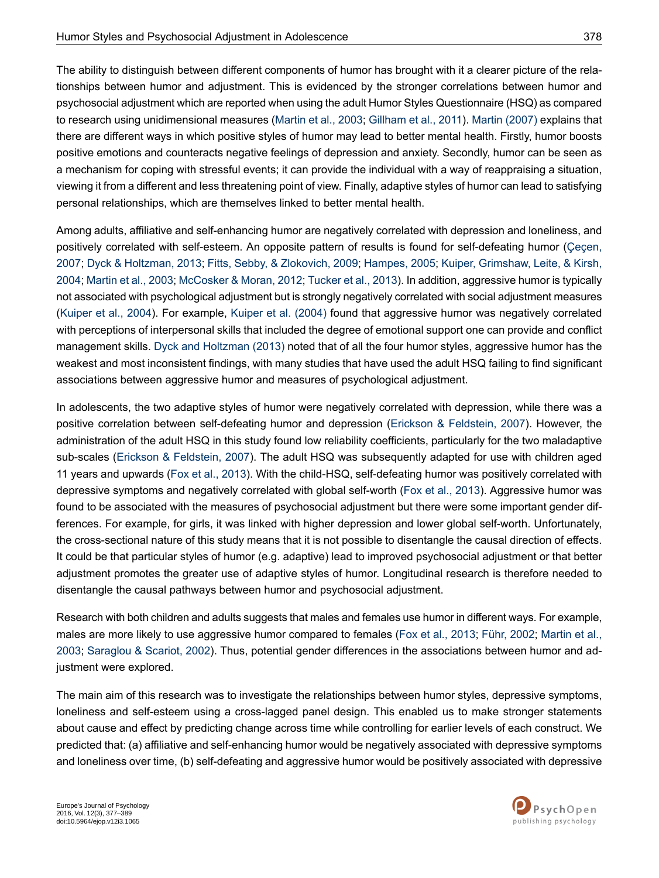The ability to distinguish between different components of humor has brought with it a clearer picture of the relationships between humor and adjustment. This is evidenced by the stronger correlations between humor and psychosocial adjustment which are reported when using the adult Humor Styles Questionnaire (HSQ) as compared to research using unidimensional measures ([Martin](#page-11-0) et al., 2003; [Gillham](#page-11-1) et al., 2011). Martin [\(2007\)](#page-11-2) explains that there are different ways in which positive styles of humor may lead to better mental health. Firstly, humor boosts positive emotions and counteracts negative feelings of depression and anxiety. Secondly, humor can be seen as a mechanism for coping with stressful events; it can provide the individual with a way of reappraising a situation, viewing it from a different and less threatening point of view. Finally, adaptive styles of humor can lead to satisfying personal relationships, which are themselves linked to better mental health.

Among adults, affiliative and self-enhancing humor are negatively correlated with depression and loneliness, and positively correlated with self-esteem. An opposite pattern of results is found for self-defeating humor ([Çeçen,](#page-10-1) [2007](#page-10-1); Dyck & [Holtzman,](#page-10-2) 2013; Fitts, Sebby, & [Zlokovich,](#page-10-3) 2009; [Hampes,](#page-11-3) 2005; Kuiper, [Grimshaw,](#page-11-4) Leite, & Kirsh, [2004](#page-11-4); [Martin](#page-11-0) et al., 2003; [McCosker](#page-11-5) & Moran, 2012; [Tucker](#page-12-0) et al., 2013). In addition, aggressive humor is typically not associated with psychological adjustment but is strongly negatively correlated with social adjustment measures [\(Kuiper](#page-11-4) et al., 2004). For example, [Kuiper](#page-11-4) et al. (2004) found that aggressive humor was negatively correlated with perceptions of interpersonal skills that included the degree of emotional support one can provide and conflict management skills. Dyck and [Holtzman](#page-10-2) (2013) noted that of all the four humor styles, aggressive humor has the weakest and most inconsistent findings, with many studies that have used the adult HSQ failing to find significant associations between aggressive humor and measures of psychological adjustment.

In adolescents, the two adaptive styles of humor were negatively correlated with depression, while there was a positive correlation between self-defeating humor and depression (Erickson & [Feldstein,](#page-10-4) 2007). However, the administration of the adult HSQ in this study found low reliability coefficients, particularly for the two maladaptive sub-scales (Erickson & [Feldstein,](#page-10-4) 2007). The adult HSQ was subsequently adapted for use with children aged 11 years and upwards (Fox et al., [2013\)](#page-10-0). With the child-HSQ, self-defeating humor was positively correlated with depressive symptoms and negatively correlated with global self-worth (Fox et al., [2013](#page-10-0)). Aggressive humor was found to be associated with the measures of psychosocial adjustment but there were some important gender differences. For example, for girls, it was linked with higher depression and lower global self-worth. Unfortunately, the cross-sectional nature of this study means that it is not possible to disentangle the causal direction of effects. It could be that particular styles of humor (e.g. adaptive) lead to improved psychosocial adjustment or that better adjustment promotes the greater use of adaptive styles of humor. Longitudinal research is therefore needed to disentangle the causal pathways between humor and psychosocial adjustment.

Research with both children and adults suggests that males and females use humor in different ways. For example, males are more likely to use aggressive humor compared to females (Fox et al., [2013;](#page-10-0) [Führ,](#page-11-6) 2002; [Martin](#page-11-0) et al., [2003](#page-11-0); [Saraglou](#page-12-1) & Scariot, 2002). Thus, potential gender differences in the associations between humor and adjustment were explored.

The main aim of this research was to investigate the relationships between humor styles, depressive symptoms, loneliness and self-esteem using a cross-lagged panel design. This enabled us to make stronger statements about cause and effect by predicting change across time while controlling for earlier levels of each construct. We predicted that: (a) affiliative and self-enhancing humor would be negatively associated with depressive symptoms and loneliness over time, (b) self-defeating and aggressive humor would be positively associated with depressive

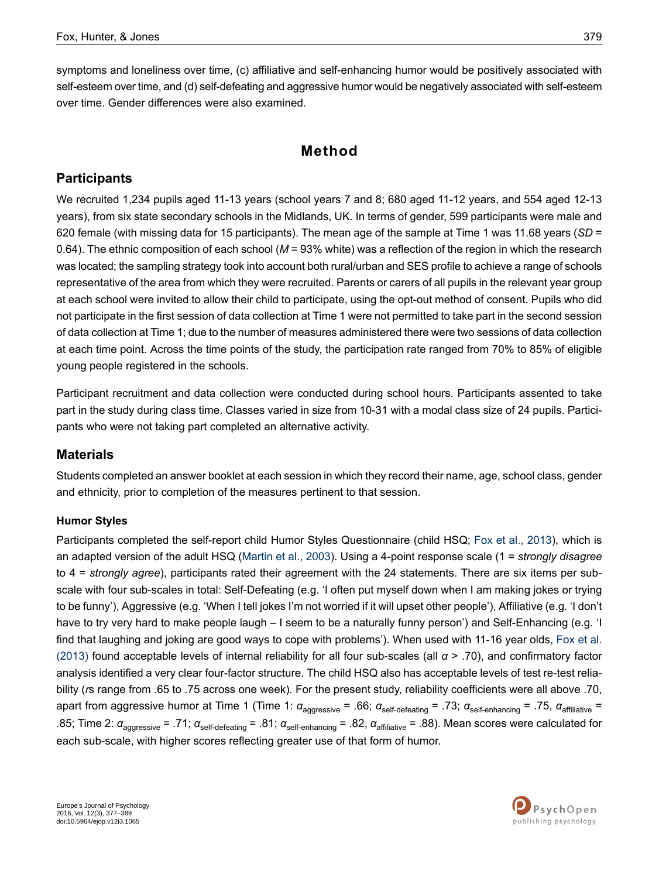symptoms and loneliness over time, (c) affiliative and self-enhancing humor would be positively associated with self-esteem over time, and (d) self-defeating and aggressive humor would be negatively associated with self-esteem over time. Gender differences were also examined.

# **Method**

## **Participants**

We recruited 1,234 pupils aged 11-13 years (school years 7 and 8; 680 aged 11-12 years, and 554 aged 12-13 years), from six state secondary schools in the Midlands, UK. In terms of gender, 599 participants were male and 620 female (with missing data for 15 participants). The mean age of the sample at Time 1 was 11.68 years (*SD* = 0.64). The ethnic composition of each school ( $M = 93\%$  white) was a reflection of the region in which the research was located; the sampling strategy took into account both rural/urban and SES profile to achieve a range of schools representative of the area from which they were recruited. Parents or carers of all pupils in the relevant year group at each school were invited to allow their child to participate, using the opt-out method of consent. Pupils who did not participate in the first session of data collection at Time 1 were not permitted to take part in the second session of data collection at Time 1; due to the number of measures administered there were two sessions of data collection at each time point. Across the time points of the study, the participation rate ranged from 70% to 85% of eligible young people registered in the schools.

Participant recruitment and data collection were conducted during school hours. Participants assented to take part in the study during class time. Classes varied in size from 10-31 with a modal class size of 24 pupils. Participants who were not taking part completed an alternative activity.

## **Materials**

Students completed an answer booklet at each session in which they record their name, age, school class, gender and ethnicity, prior to completion of the measures pertinent to that session.

### **Humor Styles**

Participants completed the self-report child Humor Styles Questionnaire (child HSQ; Fox et al., [2013\)](#page-10-0), which is an adapted version of the adult HSQ ([Martin](#page-11-0) et al., 2003). Using a 4-point response scale (1 = *strongly disagree* to 4 = *strongly agree*), participants rated their agreement with the 24 statements. There are six items per subscale with four sub-scales in total: Self-Defeating (e.g. 'I often put myself down when I am making jokes or trying to be funny'), Aggressive (e.g. 'When I tell jokes I'm not worried if it will upset other people'), Affiliative (e.g. 'I don't have to try very hard to make people laugh – I seem to be a naturally funny person') and Self-Enhancing (e.g. 'I find that laughing and joking are good ways to cope with problems'). When used with 11-16 year olds, [Fox](#page-10-0) et al. [\(2013\)](#page-10-0) found acceptable levels of internal reliability for all four sub-scales (all *α* > .70), and confirmatory factor analysis identified a very clear four-factor structure. The child HSQ also has acceptable levels of test re-test reliability (*r*s range from .65 to .75 across one week). For the present study, reliability coefficients were all above .70, apart from aggressive humor at Time 1 (Time 1:  $\alpha_{\text{aggressive}}$  = .66;  $\alpha_{\text{self-defeating}}$  = .73;  $\alpha_{\text{self-enhancing}}$  = .75,  $\alpha_{\text{affilitative}}$  = .85; Time 2: *α*aggressive = .71; *α*self-defeating = .81; *α*self-enhancing = .82, *α*affiliative = .88). Mean scores were calculated for each sub-scale, with higher scores reflecting greater use of that form of humor.

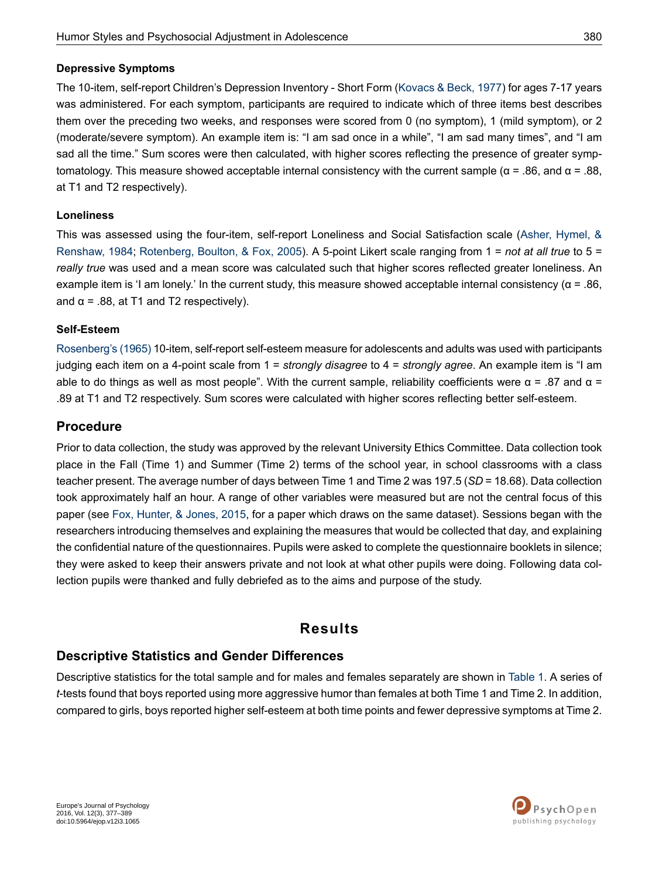#### **Depressive Symptoms**

The 10-item, self-report Children's Depression Inventory - Short Form [\(Kovacs](#page-11-7) & Beck, 1977) for ages 7-17 years was administered. For each symptom, participants are required to indicate which of three items best describes them over the preceding two weeks, and responses were scored from 0 (no symptom), 1 (mild symptom), or 2 (moderate/severe symptom). An example item is: "I am sad once in a while", "I am sad many times", and "I am sad all the time." Sum scores were then calculated, with higher scores reflecting the presence of greater symptomatology. This measure showed acceptable internal consistency with the current sample (α = .86, and α = .88, at T1 and T2 respectively).

#### **Loneliness**

This was assessed using the four-item, self-report Loneliness and Social Satisfaction scale (Asher, [Hymel,](#page-10-5) & [Renshaw,](#page-10-5) 1984; [Rotenberg,](#page-12-2) Boulton, & Fox, 2005). A 5-point Likert scale ranging from 1 = *not at all true* to 5 = *really true* was used and a mean score was calculated such that higher scores reflected greater loneliness. An example item is 'I am lonely.' In the current study, this measure showed acceptable internal consistency ( $\alpha$  = .86, and  $\alpha$  = .88, at T1 and T2 respectively).

#### **Self-Esteem**

[Rosenberg's](#page-11-8) (1965) 10-item, self-report self-esteem measure for adolescents and adults was used with participants judging each item on a 4-point scale from 1 = *strongly disagree* to 4 = *strongly agree*. An example item is "I am able to do things as well as most people". With the current sample, reliability coefficients were  $\alpha$  = .87 and  $\alpha$  = .89 at T1 and T2 respectively. Sum scores were calculated with higher scores reflecting better self-esteem.

#### **Procedure**

Prior to data collection, the study was approved by the relevant University Ethics Committee. Data collection took place in the Fall (Time 1) and Summer (Time 2) terms of the school year, in school classrooms with a class teacher present. The average number of days between Time 1 and Time 2 was 197.5 (*SD* = 18.68). Data collection took approximately half an hour. A range of other variables were measured but are not the central focus of this paper (see Fox, [Hunter,](#page-11-9) & Jones, 2015, for a paper which draws on the same dataset). Sessions began with the researchers introducing themselves and explaining the measures that would be collected that day, and explaining the confidential nature of the questionnaires. Pupils were asked to complete the questionnaire booklets in silence; they were asked to keep their answers private and not look at what other pupils were doing. Following data collection pupils were thanked and fully debriefed as to the aims and purpose of the study.

### **Results**

### **Descriptive Statistics and Gender Differences**

Descriptive statistics for the total sample and for males and females separately are shown in [Table](#page-4-0) 1. A series of *t*-tests found that boys reported using more aggressive humor than females at both Time 1 and Time 2. In addition, compared to girls, boys reported higher self-esteem at both time points and fewer depressive symptoms at Time 2.

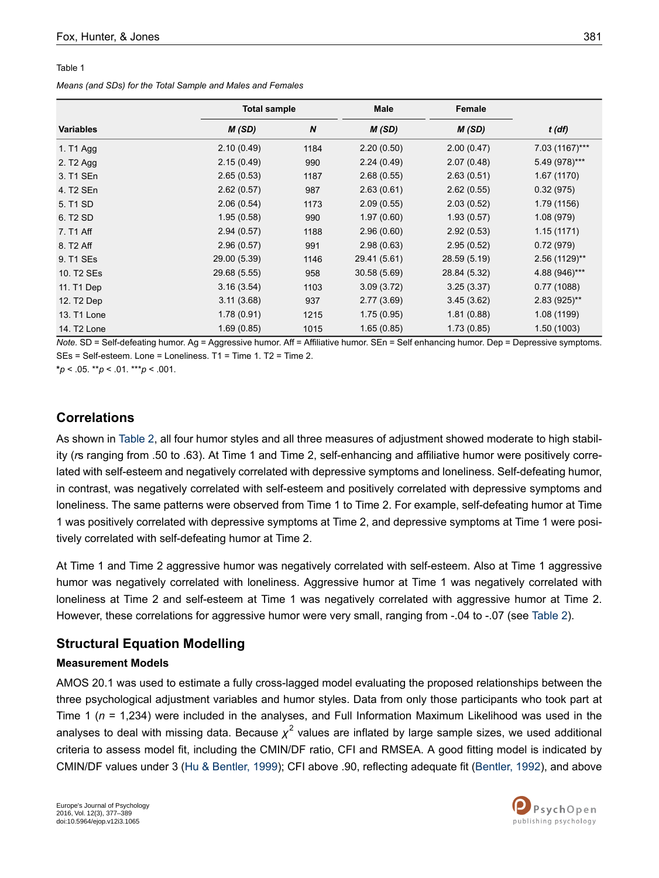#### <span id="page-4-0"></span>Table 1

#### *Means (and SDs) for the Total Sample and Males and Females*

|                                    | <b>Total sample</b> |                  | Male         | Female       |                |
|------------------------------------|---------------------|------------------|--------------|--------------|----------------|
| <b>Variables</b>                   | M(SD)               | $\boldsymbol{N}$ | M(SD)        | M (SD)       | $t$ (df)       |
| 1. T1 Agg                          | 2.10(0.49)          | 1184             | 2.20(0.50)   | 2.00(0.47)   | 7.03 (1167)*** |
| 2. T <sub>2</sub> Agg              | 2.15(0.49)          | 990              | 2.24(0.49)   | 2.07(0.48)   | 5.49 (978)***  |
| 3. T1 SEn                          | 2.65(0.53)          | 1187             | 2.68(0.55)   | 2.63(0.51)   | 1.67 (1170)    |
| 4. T <sub>2</sub> SEn              | 2.62(0.57)          | 987              | 2.63(0.61)   | 2.62(0.55)   | 0.32(975)      |
| 5. T1 SD                           | 2.06(0.54)          | 1173             | 2.09(0.55)   | 2.03(0.52)   | 1.79 (1156)    |
| 6. T <sub>2</sub> SD               | 1.95(0.58)          | 990              | 1.97(0.60)   | 1.93(0.57)   | 1.08(979)      |
| 7. T1 Aff                          | 2.94(0.57)          | 1188             | 2.96(0.60)   | 2.92(0.53)   | 1.15(1171)     |
| 8. T <sub>2</sub> Aff              | 2.96(0.57)          | 991              | 2.98(0.63)   | 2.95(0.52)   | 0.72(979)      |
| 9. T1 SEs                          | 29.00 (5.39)        | 1146             | 29.41 (5.61) | 28.59 (5.19) | 2.56 (1129)**  |
| 10. T <sub>2</sub> SE <sub>s</sub> | 29.68 (5.55)        | 958              | 30.58 (5.69) | 28.84 (5.32) | 4.88 (946)***  |
| 11. T1 Dep                         | 3.16(3.54)          | 1103             | 3.09(3.72)   | 3.25(3.37)   | 0.77(1088)     |
| 12. T <sub>2</sub> Dep             | 3.11(3.68)          | 937              | 2.77(3.69)   | 3.45(3.62)   | $2.83(925)$ ** |
| 13. T1 Lone                        | 1.78(0.91)          | 1215             | 1.75(0.95)   | 1.81(0.88)   | 1.08 (1199)    |
| 14. T <sub>2</sub> Lone            | 1.69(0.85)          | 1015             | 1.65(0.85)   | 1.73(0.85)   | 1.50(1003)     |

*Note.* SD = Self-defeating humor. Ag = Aggressive humor. Aff = Affiliative humor. SEn = Self enhancing humor. Dep = Depressive symptoms. SEs = Self-esteem. Lone = Loneliness. T1 = Time 1. T2 = Time 2.

 $* p < .05$ . \*\* $p < .01$ . \*\*\* $p < .001$ .

### **Correlations**

As shown in [Table](#page-5-0) 2, all four humor styles and all three measures of adjustment showed moderate to high stability (*r*s ranging from .50 to .63). At Time 1 and Time 2, self-enhancing and affiliative humor were positively correlated with self-esteem and negatively correlated with depressive symptoms and loneliness. Self-defeating humor, in contrast, was negatively correlated with self-esteem and positively correlated with depressive symptoms and loneliness. The same patterns were observed from Time 1 to Time 2. For example, self-defeating humor at Time 1 was positively correlated with depressive symptoms at Time 2, and depressive symptoms at Time 1 were positively correlated with self-defeating humor at Time 2.

At Time 1 and Time 2 aggressive humor was negatively correlated with self-esteem. Also at Time 1 aggressive humor was negatively correlated with loneliness. Aggressive humor at Time 1 was negatively correlated with loneliness at Time 2 and self-esteem at Time 1 was negatively correlated with aggressive humor at Time 2. However, these correlations for aggressive humor were very small, ranging from -.04 to -.07 (see [Table](#page-5-0) 2).

### **Structural Equation Modelling**

#### **Measurement Models**

AMOS 20.1 was used to estimate a fully cross-lagged model evaluating the proposed relationships between the three psychological adjustment variables and humor styles. Data from only those participants who took part at Time 1 (*n* = 1,234) were included in the analyses, and Full Information Maximum Likelihood was used in the analyses to deal with missing data. Because *χ*<sup>2</sup> values are inflated by large sample sizes, we used additional criteria to assess model fit, including the CMIN/DF ratio, CFI and RMSEA. A good fitting model is indicated by CMIN/DF values under 3 (Hu & [Bentler,](#page-11-10) 1999); CFI above .90, reflecting adequate fit ([Bentler,](#page-10-6) 1992), and above

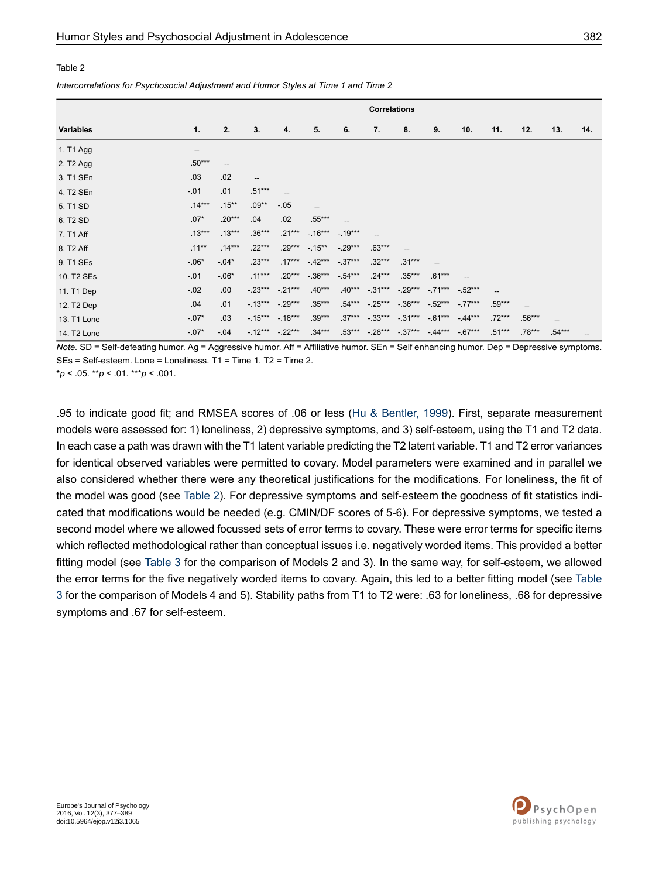#### <span id="page-5-0"></span>Table 2

*Intercorrelations for Psychosocial Adjustment and Humor Styles at Time 1 and Time 2*

|                        | <b>Correlations</b>      |          |                          |           |           |           |            |                          |           |           |          |                          |          |     |
|------------------------|--------------------------|----------|--------------------------|-----------|-----------|-----------|------------|--------------------------|-----------|-----------|----------|--------------------------|----------|-----|
| <b>Variables</b>       | 1.                       | 2.       | 3.                       | 4.        | 5.        | 6.        | 7.         | 8.                       | 9.        | 10.       | 11.      | 12.                      | 13.      | 14. |
| 1. T1 Agg              | $\overline{\phantom{a}}$ |          |                          |           |           |           |            |                          |           |           |          |                          |          |     |
| 2. T <sub>2</sub> Agg  | $.50***$                 | $- -$    |                          |           |           |           |            |                          |           |           |          |                          |          |     |
| 3. T1 SEn              | .03                      | .02      | $\overline{\phantom{a}}$ |           |           |           |            |                          |           |           |          |                          |          |     |
| 4. T2 SEn              | $-.01$                   | .01      | $.51***$                 |           |           |           |            |                          |           |           |          |                          |          |     |
| 5. T1 SD               | $.14***$                 | $.15***$ | $.09**$                  | $-.05$    |           |           |            |                          |           |           |          |                          |          |     |
| 6. T <sub>2</sub> SD   | $.07*$                   | $.20***$ | .04                      | .02       | $.55***$  |           |            |                          |           |           |          |                          |          |     |
| 7. T1 Aff              | $.13***$                 | $.13***$ | $.36***$                 | $.21***$  | $-16***$  | $-.19***$ |            |                          |           |           |          |                          |          |     |
| 8. T2 Aff              | $.11***$                 | $.14***$ | $.22***$                 | $.29***$  | $-15**$   | $-.29***$ | $.63***$   | $\overline{\phantom{a}}$ |           |           |          |                          |          |     |
| 9. T1 SEs              | $-.06*$                  | $-.04*$  | $.23***$                 | $.17***$  | $-42***$  | $-.37***$ | $.32***$   | $.31***$                 |           |           |          |                          |          |     |
| 10. T2 SEs             | $-.01$                   | $-.06*$  | $.11***$                 | $.20***$  | $-.36***$ | $-54***$  | $.24***$   | $.35***$                 | $.61***$  |           |          |                          |          |     |
| 11. T1 Dep             | $-.02$                   | .00.     | $-.23***$                | $-.21***$ | $.40***$  | $.40***$  | $-.31***$  | $-.29***$                | $-.71***$ | $-.52***$ |          |                          |          |     |
| 12. T <sub>2</sub> Dep | .04                      | .01      | $-13***$                 | $-.29***$ | $.35***$  | $.54***$  | $-0.25***$ | $-.36***$                | $-.52***$ | $-.77***$ | $.59***$ | $\overline{\phantom{a}}$ |          |     |
| 13. T1 Lone            | $-.07*$                  | .03      | $-0.15***$ $-0.16***$    |           | $.39***$  | $.37***$  |            | $-.33***$ $-.31***$      | $-61***$  | $-44***$  | $.72***$ | $.56***$                 | --       |     |
| 14. T2 Lone            | $-.07*$                  | $-.04$   | $-12***$ $-22***$        |           | $.34***$  | $.53***$  | $-.28***$  | $-.37***$                | $-44***$  | $-.67***$ | $.51***$ | $.78***$                 | $.54***$ |     |

*Note.* SD = Self-defeating humor. Ag = Aggressive humor. Aff = Affiliative humor. SEn = Self enhancing humor. Dep = Depressive symptoms. SEs = Self-esteem. Lone = Loneliness. T1 = Time 1. T2 = Time 2.

**\****p* < .05. \*\**p* < .01. \*\*\**p* < .001.

.95 to indicate good fit; and RMSEA scores of .06 or less (Hu & [Bentler,](#page-11-10) 1999). First, separate measurement models were assessed for: 1) loneliness, 2) depressive symptoms, and 3) self-esteem, using the T1 and T2 data. In each case a path was drawn with the T1 latent variable predicting the T2 latent variable. T1 and T2 error variances for identical observed variables were permitted to covary. Model parameters were examined and in parallel we also considered whether there were any theoretical justifications for the modifications. For loneliness, the fit of the model was good (see [Table](#page-5-0) 2). For depressive symptoms and self-esteem the goodness of fit statistics indicated that modifications would be needed (e.g. CMIN/DF scores of 5-6). For depressive symptoms, we tested a second model where we allowed focussed sets of error terms to covary. These were error terms for specific items which reflected methodological rather than conceptual issues i.e. negatively worded items. This provided a better fitting model (see [Table](#page-6-0) 3 for the comparison of Models 2 and 3). In the same way, for self-esteem, we allowed the error terms for the five negatively worded items to covary. Again, this led to a better fitting model (see [Table](#page-6-0) [3](#page-6-0) for the comparison of Models 4 and 5). Stability paths from T1 to T2 were: .63 for loneliness, .68 for depressive symptoms and .67 for self-esteem.

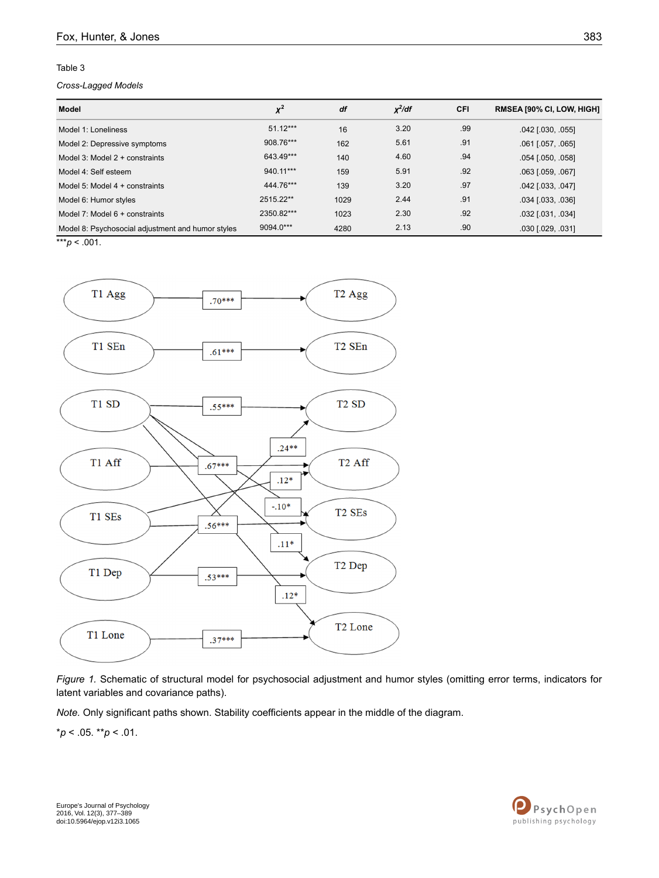#### <span id="page-6-0"></span>Table 3

#### *Cross-Lagged Models*

| Model                                             | $x^2$       | df   | $x^2$ /df | <b>CFI</b> | RMSEA [90% CI, LOW, HIGH] |
|---------------------------------------------------|-------------|------|-----------|------------|---------------------------|
| Model 1: Loneliness                               | $51.12***$  | 16   | 3.20      | .99        | $.042$ $[.030, .055]$     |
| Model 2: Depressive symptoms                      | 908.76***   | 162  | 5.61      | .91        | $.061$ $[.057, .065]$     |
| Model 3: Model $2 +$ constraints                  | 643.49***   | 140  | 4.60      | .94        | $.054$ $[.050, .058]$     |
| Model 4: Self esteem                              | 940.11***   | 159  | 5.91      | .92        | .063 [.059, .067]         |
| Model 5: Model $4 +$ constraints                  | 444.76***   | 139  | 3.20      | .97        | .042 [.033, .047]         |
| Model 6: Humor styles                             | 2515.22**   | 1029 | 2.44      | .91        | $.034$ $[.033, .036]$     |
| Model 7: Model $6 +$ constraints                  | 2350.82***  | 1023 | 2.30      | .92        | .032 [.031, .034]         |
| Model 8: Psychosocial adjustment and humor styles | $9094.0***$ | 4280 | 2.13      | .90        | $.030$ $[.029, .031]$     |

<span id="page-6-1"></span> $\frac{1}{2}$  \*\*\**p* < .001.



*Figure 1.* Schematic of structural model for psychosocial adjustment and humor styles (omitting error terms, indicators for latent variables and covariance paths).

*Note.* Only significant paths shown. Stability coefficients appear in the middle of the diagram.

\**p* < .05. \*\**p* < .01.

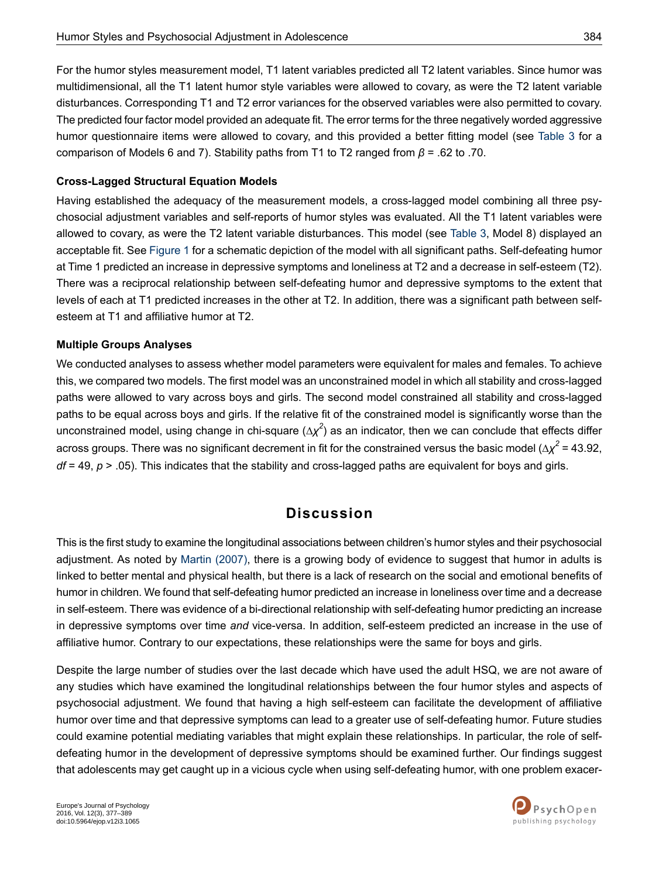For the humor styles measurement model, T1 latent variables predicted all T2 latent variables. Since humor was multidimensional, all the T1 latent humor style variables were allowed to covary, as were the T2 latent variable disturbances. Corresponding T1 and T2 error variances for the observed variables were also permitted to covary. The predicted four factor model provided an adequate fit. The error terms for the three negatively worded aggressive humor questionnaire items were allowed to covary, and this provided a better fitting model (see [Table](#page-6-0) 3 for a comparison of Models 6 and 7). Stability paths from T1 to T2 ranged from *β* = .62 to .70.

#### **Cross-Lagged Structural Equation Models**

Having established the adequacy of the measurement models, a cross-lagged model combining all three psychosocial adjustment variables and self-reports of humor styles was evaluated. All the T1 latent variables were allowed to covary, as were the T2 latent variable disturbances. This model (see [Table](#page-6-0) 3, Model 8) displayed an acceptable fit. See [Figure](#page-6-1) 1 for a schematic depiction of the model with all significant paths. Self-defeating humor at Time 1 predicted an increase in depressive symptoms and loneliness at T2 and a decrease in self-esteem (T2). There was a reciprocal relationship between self-defeating humor and depressive symptoms to the extent that levels of each at T1 predicted increases in the other at T2. In addition, there was a significant path between selfesteem at T1 and affiliative humor at T2.

#### **Multiple Groups Analyses**

We conducted analyses to assess whether model parameters were equivalent for males and females. To achieve this, we compared two models. The first model was an unconstrained model in which all stability and cross-lagged paths were allowed to vary across boys and girls. The second model constrained all stability and cross-lagged paths to be equal across boys and girls. If the relative fit of the constrained model is significantly worse than the unconstrained model, using change in chi-square (Δ*χ*<sup>2</sup>) as an indicator, then we can conclude that effects differ across groups. There was no significant decrement in fit for the constrained versus the basic model (∆*χ 2* = 43.92,  $df = 49$ ,  $p > .05$ ). This indicates that the stability and cross-lagged paths are equivalent for bovs and girls.

## **Discussion**

This is the first study to examine the longitudinal associations between children's humor styles and their psychosocial adjustment. As noted by Martin [\(2007\)](#page-11-2), there is a growing body of evidence to suggest that humor in adults is linked to better mental and physical health, but there is a lack of research on the social and emotional benefits of humor in children. We found that self-defeating humor predicted an increase in loneliness over time and a decrease in self-esteem. There was evidence of a bi-directional relationship with self-defeating humor predicting an increase in depressive symptoms over time *and* vice-versa. In addition, self-esteem predicted an increase in the use of affiliative humor. Contrary to our expectations, these relationships were the same for boys and girls.

Despite the large number of studies over the last decade which have used the adult HSQ, we are not aware of any studies which have examined the longitudinal relationships between the four humor styles and aspects of psychosocial adjustment. We found that having a high self-esteem can facilitate the development of affiliative humor over time and that depressive symptoms can lead to a greater use of self-defeating humor. Future studies could examine potential mediating variables that might explain these relationships. In particular, the role of selfdefeating humor in the development of depressive symptoms should be examined further. Our findings suggest that adolescents may get caught up in a vicious cycle when using self-defeating humor, with one problem exacer-

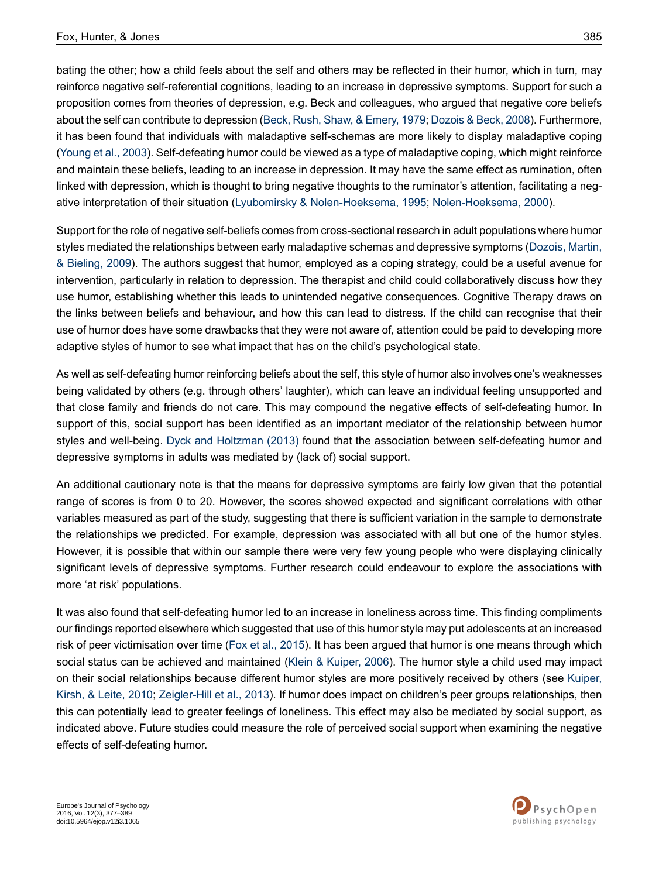bating the other; how a child feels about the self and others may be reflected in their humor, which in turn, may reinforce negative self-referential cognitions, leading to an increase in depressive symptoms. Support for such a proposition comes from theories of depression, e.g. Beck and colleagues, who argued that negative core beliefs about the self can contribute to depression (Beck, Rush, Shaw, & Emery, 1979; Dozois & Beck, 2008). Furthermore, it has been found that individuals with maladaptive self-schemas are more likely to display maladaptive coping [\(Young](#page-12-3) et al., 2003). Self-defeating humor could be viewed as a type of maladaptive coping, which might reinforce and maintain these beliefs, leading to an increase in depression. It may have the same effect as rumination, often linked with depression, which is thought to bring negative thoughts to the ruminator's attention, facilitating a negative interpretation of their situation (Lyubomirsky & [Nolen-Hoeksema,](#page-11-11) 1995; [Nolen-Hoeksema,](#page-11-12) 2000).

Support for the role of negative self-beliefs comes from cross-sectional research in adult populations where humor styles mediated the relationships between early maladaptive schemas and depressive symptoms [\(Dozois,](#page-10-9) Martin, & [Bieling,](#page-10-9) 2009). The authors suggest that humor, employed as a coping strategy, could be a useful avenue for intervention, particularly in relation to depression. The therapist and child could collaboratively discuss how they use humor, establishing whether this leads to unintended negative consequences. Cognitive Therapy draws on the links between beliefs and behaviour, and how this can lead to distress. If the child can recognise that their use of humor does have some drawbacks that they were not aware of, attention could be paid to developing more adaptive styles of humor to see what impact that has on the child's psychological state.

As well as self-defeating humor reinforcing beliefs about the self, this style of humor also involves one's weaknesses being validated by others (e.g. through others' laughter), which can leave an individual feeling unsupported and that close family and friends do not care. This may compound the negative effects of self-defeating humor. In support of this, social support has been identified as an important mediator of the relationship between humor styles and well-being. Dyck and [Holtzman](#page-10-2) (2013) found that the association between self-defeating humor and depressive symptoms in adults was mediated by (lack of) social support.

An additional cautionary note is that the means for depressive symptoms are fairly low given that the potential range of scores is from 0 to 20. However, the scores showed expected and significant correlations with other variables measured as part of the study, suggesting that there is sufficient variation in the sample to demonstrate the relationships we predicted. For example, depression was associated with all but one of the humor styles. However, it is possible that within our sample there were very few young people who were displaying clinically significant levels of depressive symptoms. Further research could endeavour to explore the associations with more 'at risk' populations.

It was also found that self-defeating humor led to an increase in loneliness across time. This finding compliments our findings reported elsewhere which suggested that use of this humor style may put adolescents at an increased risk of peer victimisation over time (Fox et al., [2015](#page-11-9)). It has been argued that humor is one means through which social status can be achieved and maintained (Klein & [Kuiper,](#page-11-13) 2006). The humor style a child used may impact on their social relationships because different humor styles are more positively received by others (see [Kuiper,](#page-11-14) [Kirsh,](#page-11-14) & Leite, 2010; [Zeigler-Hill](#page-12-4) et al., 2013). If humor does impact on children's peer groups relationships, then this can potentially lead to greater feelings of loneliness. This effect may also be mediated by social support, as indicated above. Future studies could measure the role of perceived social support when examining the negative effects of self-defeating humor.

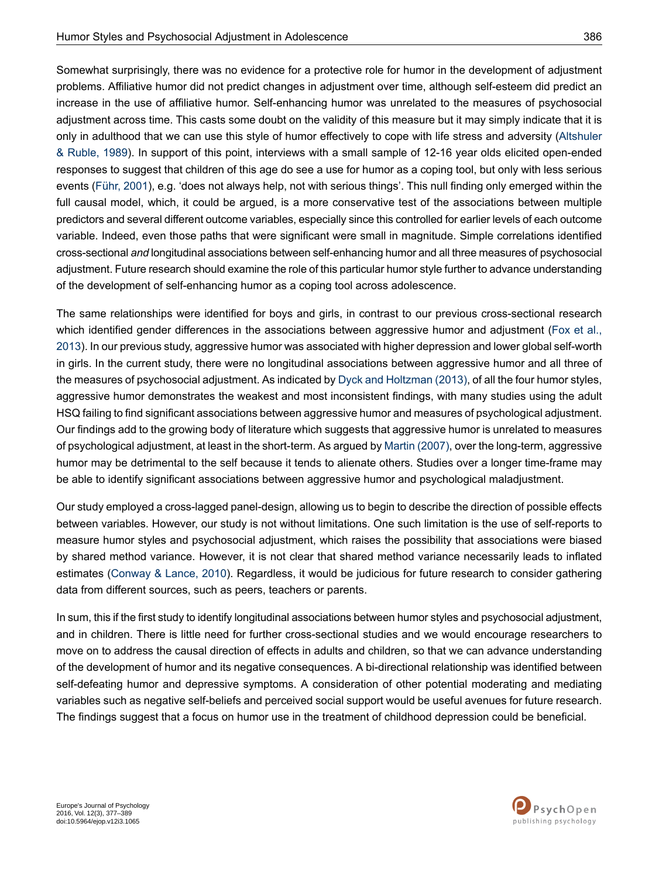Somewhat surprisingly, there was no evidence for a protective role for humor in the development of adjustment problems. Affiliative humor did not predict changes in adjustment over time, although self-esteem did predict an increase in the use of affiliative humor. Self-enhancing humor was unrelated to the measures of psychosocial adjustment across time. This casts some doubt on the validity of this measure but it may simply indicate that it is only in adulthood that we can use this style of humor effectively to cope with life stress and adversity [\(Altshuler](#page-10-10) & [Ruble,](#page-10-10) 1989). In support of this point, interviews with a small sample of 12-16 year olds elicited open-ended responses to suggest that children of this age do see a use for humor as a coping tool, but only with less serious events [\(Führ,](#page-11-15) 2001), e.g. 'does not always help, not with serious things'. This null finding only emerged within the full causal model, which, it could be argued, is a more conservative test of the associations between multiple predictors and several different outcome variables, especially since this controlled for earlier levels of each outcome variable. Indeed, even those paths that were significant were small in magnitude. Simple correlations identified cross-sectional *and* longitudinal associations between self-enhancing humor and all three measures of psychosocial adjustment. Future research should examine the role of this particular humor style further to advance understanding of the development of self-enhancing humor as a coping tool across adolescence.

The same relationships were identified for boys and girls, in contrast to our previous cross-sectional research which identified gender differences in the associations between aggressive humor and adjustment ([Fox](#page-10-0) et al., [2013](#page-10-0)). In our previous study, aggressive humor was associated with higher depression and lower global self-worth in girls. In the current study, there were no longitudinal associations between aggressive humor and all three of the measures of psychosocial adjustment. As indicated by Dyck and [Holtzman](#page-10-2) (2013), of all the four humor styles, aggressive humor demonstrates the weakest and most inconsistent findings, with many studies using the adult HSQ failing to find significant associations between aggressive humor and measures of psychological adjustment. Our findings add to the growing body of literature which suggests that aggressive humor is unrelated to measures of psychological adjustment, at least in the short-term. As argued by Martin [\(2007\)](#page-11-2), over the long-term, aggressive humor may be detrimental to the self because it tends to alienate others. Studies over a longer time-frame may be able to identify significant associations between aggressive humor and psychological maladjustment.

Our study employed a cross-lagged panel-design, allowing us to begin to describe the direction of possible effects between variables. However, our study is not without limitations. One such limitation is the use of self-reports to measure humor styles and psychosocial adjustment, which raises the possibility that associations were biased by shared method variance. However, it is not clear that shared method variance necessarily leads to inflated estimates [\(Conway](#page-10-11) & Lance, 2010). Regardless, it would be judicious for future research to consider gathering data from different sources, such as peers, teachers or parents.

In sum, this if the first study to identify longitudinal associations between humor styles and psychosocial adjustment, and in children. There is little need for further cross-sectional studies and we would encourage researchers to move on to address the causal direction of effects in adults and children, so that we can advance understanding of the development of humor and its negative consequences. A bi-directional relationship was identified between self-defeating humor and depressive symptoms. A consideration of other potential moderating and mediating variables such as negative self-beliefs and perceived social support would be useful avenues for future research. The findings suggest that a focus on humor use in the treatment of childhood depression could be beneficial.

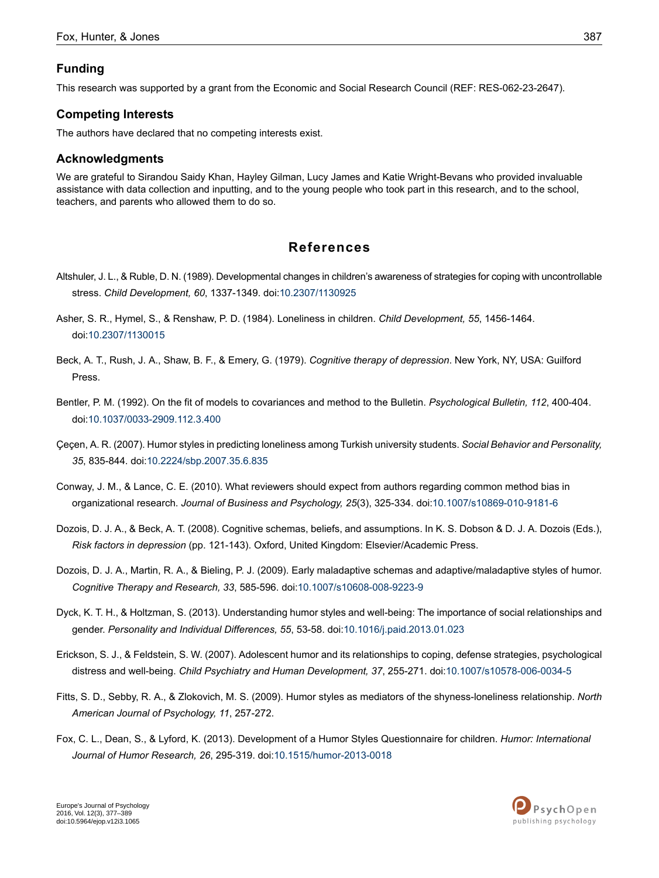### **Funding**

This research was supported by a grant from the Economic and Social Research Council (REF: RES-062-23-2647).

### **Competing Interests**

The authors have declared that no competing interests exist.

#### **Acknowledgments**

We are grateful to Sirandou Saidy Khan, Hayley Gilman, Lucy James and Katie Wright-Bevans who provided invaluable assistance with data collection and inputting, and to the young people who took part in this research, and to the school, teachers, and parents who allowed them to do so.

## **References**

- <span id="page-10-10"></span><span id="page-10-5"></span>Altshuler, J. L., & Ruble, D. N. (1989). Developmental changes in children's awareness of strategies for coping with uncontrollable stress. *Child Development, 60*, 1337-1349. doi:[10.2307/1130925](http://dx.doi.org/10.2307%2F1130925)
- <span id="page-10-7"></span>Asher, S. R., Hymel, S., & Renshaw, P. D. (1984). Loneliness in children. *Child Development, 55*, 1456-1464. doi:[10.2307/1130015](http://dx.doi.org/10.2307%2F1130015)
- <span id="page-10-6"></span>Beck, A. T., Rush, J. A., Shaw, B. F., & Emery, G. (1979). *Cognitive therapy of depression*. New York, NY, USA: Guilford Press.
- <span id="page-10-1"></span>Bentler, P. M. (1992). On the fit of models to covariances and method to the Bulletin. *Psychological Bulletin, 112*, 400-404. doi:[10.1037/0033-2909.112.3.400](http://dx.doi.org/10.1037%2F0033-2909.112.3.400)
- <span id="page-10-11"></span>Çeçen, A. R. (2007). Humor styles in predicting loneliness among Turkish university students. *Social Behavior and Personality, 35*, 835-844. doi:[10.2224/sbp.2007.35.6.835](http://dx.doi.org/10.2224%2Fsbp.2007.35.6.835)
- <span id="page-10-8"></span>Conway, J. M., & Lance, C. E. (2010). What reviewers should expect from authors regarding common method bias in organizational research. *Journal of Business and Psychology, 25*(3), 325-334. doi[:10.1007/s10869-010-9181-6](http://dx.doi.org/10.1007%2Fs10869-010-9181-6)
- <span id="page-10-9"></span>Dozois, D. J. A., & Beck, A. T. (2008). Cognitive schemas, beliefs, and assumptions. In K. S. Dobson & D. J. A. Dozois (Eds.), *Risk factors in depression* (pp. 121-143). Oxford, United Kingdom: Elsevier/Academic Press.
- <span id="page-10-4"></span><span id="page-10-2"></span>Dozois, D. J. A., Martin, R. A., & Bieling, P. J. (2009). Early maladaptive schemas and adaptive/maladaptive styles of humor. *Cognitive Therapy and Research, 33*, 585-596. doi[:10.1007/s10608-008-9223-9](http://dx.doi.org/10.1007%2Fs10608-008-9223-9)
- <span id="page-10-3"></span>Dyck, K. T. H., & Holtzman, S. (2013). Understanding humor styles and well-being: The importance of social relationships and gender. *Personality and Individual Differences, 55*, 53-58. doi:[10.1016/j.paid.2013.01.023](http://dx.doi.org/10.1016%2Fj.paid.2013.01.023)
- <span id="page-10-0"></span>Erickson, S. J., & Feldstein, S. W. (2007). Adolescent humor and its relationships to coping, defense strategies, psychological distress and well-being. *Child Psychiatry and Human Development, 37*, 255-271. doi[:10.1007/s10578-006-0034-5](http://dx.doi.org/10.1007%2Fs10578-006-0034-5)
- Fitts, S. D., Sebby, R. A., & Zlokovich, M. S. (2009). Humor styles as mediators of the shyness-loneliness relationship. *North American Journal of Psychology, 11*, 257-272.
- Fox, C. L., Dean, S., & Lyford, K. (2013). Development of a Humor Styles Questionnaire for children. *Humor: International Journal of Humor Research, 26*, 295-319. doi:[10.1515/humor-2013-0018](http://dx.doi.org/10.1515%2Fhumor-2013-0018)

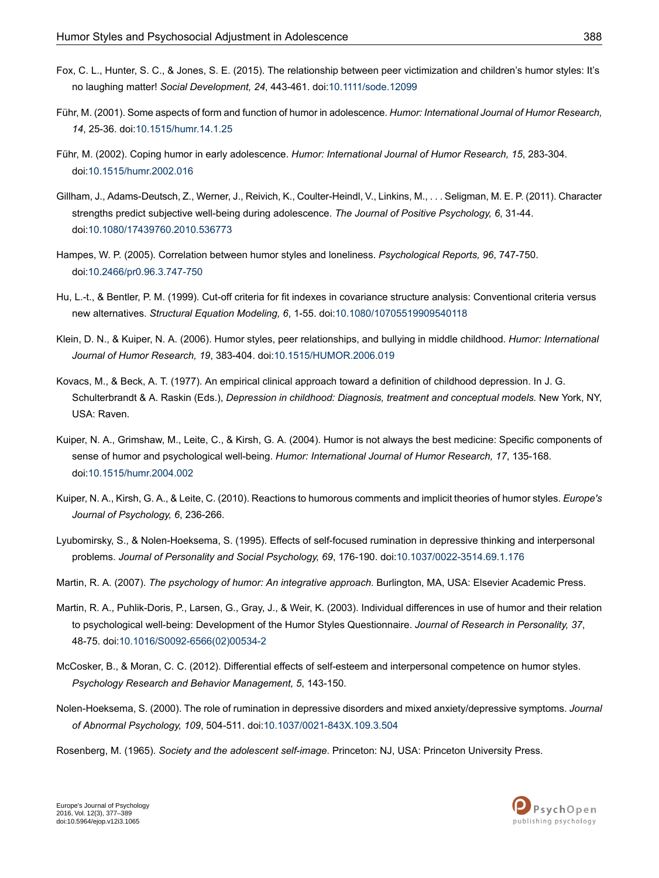- <span id="page-11-9"></span>Fox, C. L., Hunter, S. C., & Jones, S. E. (2015). The relationship between peer victimization and children's humor styles: It's no laughing matter! *Social Development, 24*, 443-461. doi[:10.1111/sode.12099](http://dx.doi.org/10.1111%2Fsode.12099)
- <span id="page-11-15"></span>Führ, M. (2001). Some aspects of form and function of humor in adolescence. *Humor: International Journal of Humor Research, 14*, 25-36. doi:[10.1515/humr.14.1.25](http://dx.doi.org/10.1515%2Fhumr.14.1.25)
- <span id="page-11-6"></span><span id="page-11-1"></span>Führ, M. (2002). Coping humor in early adolescence. *Humor: International Journal of Humor Research, 15*, 283-304. doi:[10.1515/humr.2002.016](http://dx.doi.org/10.1515%2Fhumr.2002.016)
- Gillham, J., Adams-Deutsch, Z., Werner, J., Reivich, K., Coulter-Heindl, V., Linkins, M., . . . Seligman, M. E. P. (2011). Character strengths predict subjective well-being during adolescence. *The Journal of Positive Psychology, 6*, 31-44. doi:[10.1080/17439760.2010.536773](http://dx.doi.org/10.1080%2F17439760.2010.536773)
- <span id="page-11-10"></span><span id="page-11-3"></span>Hampes, W. P. (2005). Correlation between humor styles and loneliness. *Psychological Reports, 96*, 747-750. doi:[10.2466/pr0.96.3.747-750](http://dx.doi.org/10.2466%2Fpr0.96.3.747-750)
- <span id="page-11-13"></span>Hu, L.-t., & Bentler, P. M. (1999). Cut-off criteria for fit indexes in covariance structure analysis: Conventional criteria versus new alternatives. *Structural Equation Modeling, 6*, 1-55. doi[:10.1080/10705519909540118](http://dx.doi.org/10.1080%2F10705519909540118)
- <span id="page-11-7"></span>Klein, D. N., & Kuiper, N. A. (2006). Humor styles, peer relationships, and bullying in middle childhood. *Humor: International Journal of Humor Research, 19*, 383-404. doi:[10.1515/HUMOR.2006.019](http://dx.doi.org/10.1515%2FHUMOR.2006.019)
- <span id="page-11-4"></span>Kovacs, M., & Beck, A. T. (1977). An empirical clinical approach toward a definition of childhood depression. In J. G. Schulterbrandt & A. Raskin (Eds.), *Depression in childhood: Diagnosis, treatment and conceptual models.* New York, NY, USA: Raven.
- <span id="page-11-14"></span>Kuiper, N. A., Grimshaw, M., Leite, C., & Kirsh, G. A. (2004). Humor is not always the best medicine: Specific components of sense of humor and psychological well-being. *Humor: International Journal of Humor Research, 17*, 135-168. doi:[10.1515/humr.2004.002](http://dx.doi.org/10.1515%2Fhumr.2004.002)
- <span id="page-11-11"></span>Kuiper, N. A., Kirsh, G. A., & Leite, C. (2010). Reactions to humorous comments and implicit theories of humor styles. *Europe's Journal of Psychology, 6*, 236-266.
- <span id="page-11-2"></span><span id="page-11-0"></span>Lyubomirsky, S., & Nolen-Hoeksema, S. (1995). Effects of self-focused rumination in depressive thinking and interpersonal problems. *Journal of Personality and Social Psychology, 69*, 176-190. doi[:10.1037/0022-3514.69.1.176](http://dx.doi.org/10.1037%2F0022-3514.69.1.176)
- Martin, R. A. (2007). *The psychology of humor: An integrative approach*. Burlington, MA, USA: Elsevier Academic Press.
- <span id="page-11-12"></span><span id="page-11-5"></span>Martin, R. A., Puhlik-Doris, P., Larsen, G., Gray, J., & Weir, K. (2003). Individual differences in use of humor and their relation to psychological well-being: Development of the Humor Styles Questionnaire. *Journal of Research in Personality, 37*, 48-75. doi:[10.1016/S0092-6566\(02\)00534-2](http://dx.doi.org/10.1016%2FS0092-6566%2802%2900534-2)
- <span id="page-11-8"></span>McCosker, B., & Moran, C. C. (2012). Differential effects of self-esteem and interpersonal competence on humor styles. *Psychology Research and Behavior Management, 5*, 143-150.
- Nolen-Hoeksema, S. (2000). The role of rumination in depressive disorders and mixed anxiety/depressive symptoms. *Journal of Abnormal Psychology, 109*, 504-511. doi[:10.1037/0021-843X.109.3.504](http://dx.doi.org/10.1037%2F0021-843X.109.3.504)

Rosenberg, M. (1965). *Society and the adolescent self-image*. Princeton: NJ, USA: Princeton University Press.